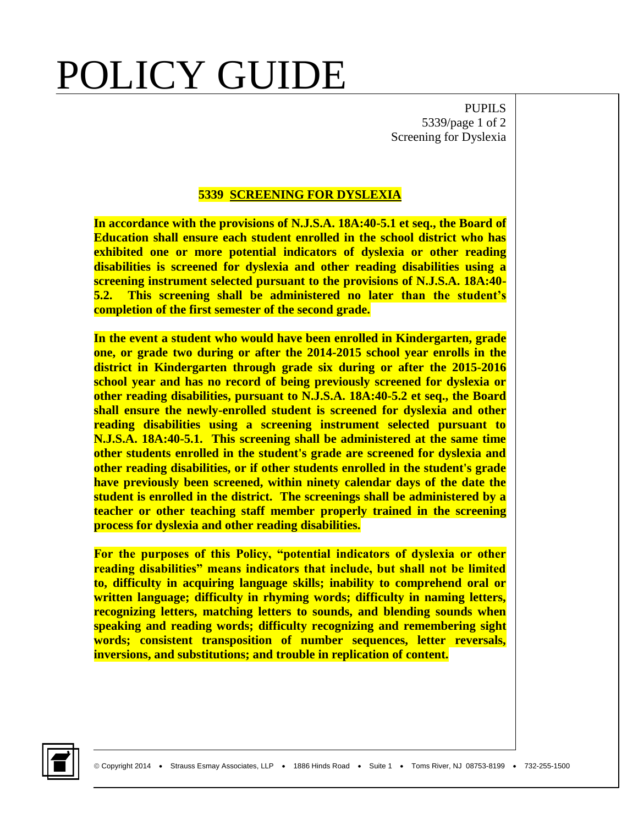## POLICY GUIDE

PUPILS 5339/page 1 of 2 Screening for Dyslexia

## **5339 SCREENING FOR DYSLEXIA**

**In accordance with the provisions of N.J.S.A. 18A:40-5.1 et seq., the Board of Education shall ensure each student enrolled in the school district who has exhibited one or more potential indicators of dyslexia or other reading disabilities is screened for dyslexia and other reading disabilities using a screening instrument selected pursuant to the provisions of N.J.S.A. 18A:40- 5.2. This screening shall be administered no later than the student's completion of the first semester of the second grade.**

**In the event a student who would have been enrolled in Kindergarten, grade one, or grade two during or after the 2014-2015 school year enrolls in the district in Kindergarten through grade six during or after the 2015-2016 school year and has no record of being previously screened for dyslexia or other reading disabilities, pursuant to N.J.S.A. 18A:40-5.2 et seq., the Board shall ensure the newly-enrolled student is screened for dyslexia and other reading disabilities using a screening instrument selected pursuant to N.J.S.A. 18A:40-5.1. This screening shall be administered at the same time other students enrolled in the student's grade are screened for dyslexia and other reading disabilities, or if other students enrolled in the student's grade have previously been screened, within ninety calendar days of the date the student is enrolled in the district. The screenings shall be administered by a teacher or other teaching staff member properly trained in the screening process for dyslexia and other reading disabilities.** 

**For the purposes of this Policy, "potential indicators of dyslexia or other reading disabilities" means indicators that include, but shall not be limited to, difficulty in acquiring language skills; inability to comprehend oral or written language; difficulty in rhyming words; difficulty in naming letters, recognizing letters, matching letters to sounds, and blending sounds when speaking and reading words; difficulty recognizing and remembering sight words; consistent transposition of number sequences, letter reversals, inversions, and substitutions; and trouble in replication of content.**